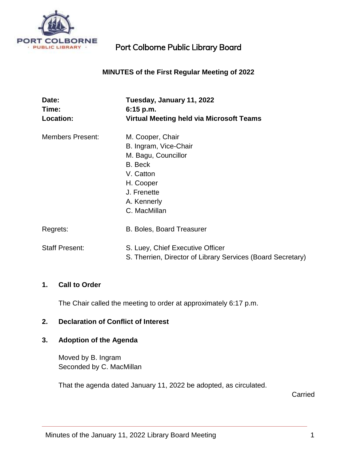

## **MINUTES of the First Regular Meeting of 2022**

| Date:<br>Time:          | Tuesday, January 11, 2022<br>$6:15$ p.m.                    |
|-------------------------|-------------------------------------------------------------|
| <b>Location:</b>        | Virtual Meeting held via Microsoft Teams                    |
| <b>Members Present:</b> | M. Cooper, Chair                                            |
|                         | B. Ingram, Vice-Chair                                       |
|                         | M. Bagu, Councillor                                         |
|                         | B. Beck                                                     |
|                         | V. Catton                                                   |
|                         | H. Cooper                                                   |
|                         | J. Frenette                                                 |
|                         | A. Kennerly                                                 |
|                         | C. MacMillan                                                |
| Regrets:                | <b>B. Boles, Board Treasurer</b>                            |
| <b>Staff Present:</b>   | S. Luey, Chief Executive Officer                            |
|                         | S. Therrien, Director of Library Services (Board Secretary) |

#### **1. Call to Order**

The Chair called the meeting to order at approximately 6:17 p.m.

#### **2. Declaration of Conflict of Interest**

## **3. Adoption of the Agenda**

Moved by B. Ingram Seconded by C. MacMillan

That the agenda dated January 11, 2022 be adopted, as circulated.

**Carried**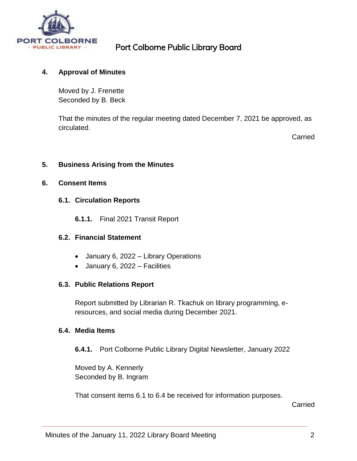

## **4. Approval of Minutes**

Moved by J. Frenette Seconded by B. Beck

That the minutes of the regular meeting dated December 7, 2021 be approved, as circulated.

Carried

### **5. Business Arising from the Minutes**

#### **6. Consent Items**

### **6.1. Circulation Reports**

**6.1.1.** Final 2021 Transit Report

#### **6.2. Financial Statement**

- January 6, 2022 Library Operations
- January 6, 2022 Facilities

#### **6.3. Public Relations Report**

Report submitted by Librarian R. Tkachuk on library programming, eresources, and social media during December 2021.

### **6.4. Media Items**

**6.4.1.** Port Colborne Public Library Digital Newsletter, January 2022

Moved by A. Kennerly Seconded by B. Ingram

That consent items 6.1 to 6.4 be received for information purposes.

Carried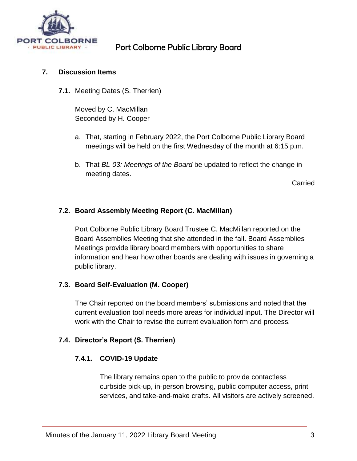

### **7. Discussion Items**

**7.1.** Meeting Dates (S. Therrien)

Moved by C. MacMillan Seconded by H. Cooper

- a. That, starting in February 2022, the Port Colborne Public Library Board meetings will be held on the first Wednesday of the month at 6:15 p.m.
- b. That *BL-03: Meetings of the Board* be updated to reflect the change in meeting dates.

Carried

## **7.2. Board Assembly Meeting Report (C. MacMillan)**

Port Colborne Public Library Board Trustee C. MacMillan reported on the Board Assemblies Meeting that she attended in the fall. Board Assemblies Meetings provide library board members with opportunities to share information and hear how other boards are dealing with issues in governing a public library.

#### **7.3. Board Self-Evaluation (M. Cooper)**

The Chair reported on the board members' submissions and noted that the current evaluation tool needs more areas for individual input. The Director will work with the Chair to revise the current evaluation form and process.

#### **7.4. Director's Report (S. Therrien)**

## **7.4.1. COVID-19 Update**

The library remains open to the public to provide contactless curbside pick-up, in-person browsing, public computer access, print services, and take-and-make crafts. All visitors are actively screened.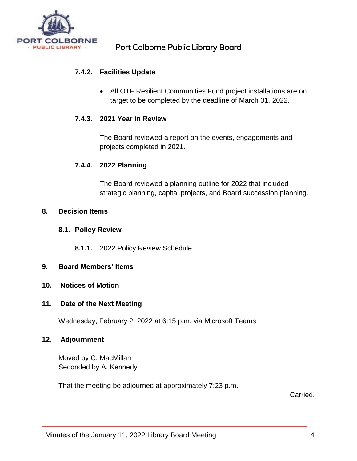

## **7.4.2. Facilities Update**

 All OTF Resilient Communities Fund project installations are on target to be completed by the deadline of March 31, 2022.

## **7.4.3. 2021 Year in Review**

The Board reviewed a report on the events, engagements and projects completed in 2021.

### **7.4.4. 2022 Planning**

The Board reviewed a planning outline for 2022 that included strategic planning, capital projects, and Board succession planning.

#### **8. Decision Items**

#### **8.1. Policy Review**

**8.1.1.** 2022 Policy Review Schedule

#### **9. Board Members' Items**

#### **10. Notices of Motion**

#### **11. Date of the Next Meeting**

Wednesday, February 2, 2022 at 6:15 p.m. via Microsoft Teams

#### **12. Adjournment**

Moved by C. MacMillan Seconded by A. Kennerly

That the meeting be adjourned at approximately 7:23 p.m.

Carried.